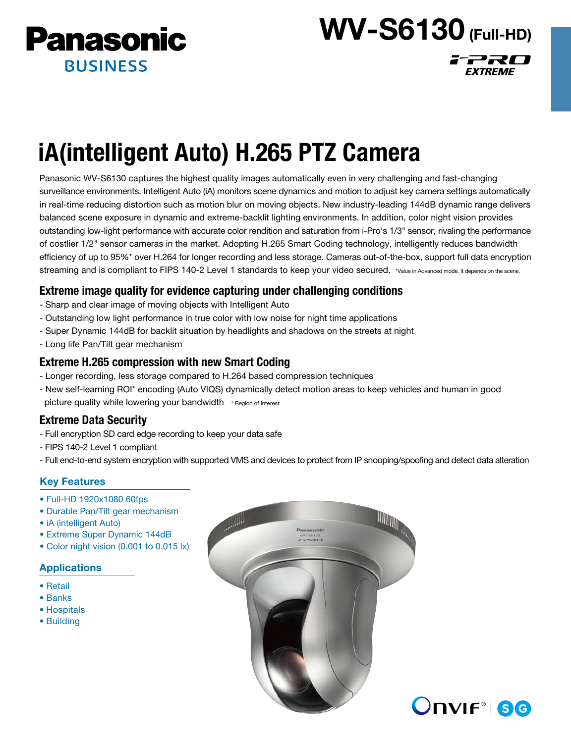

# WV-S6130 (Full-HD)

FPRO

EXTREME

# iA(intelligent Auto) H.265 PTZ Camera

Panasonic WV-S6130 captures the highest quality images automatically even in very challenging and fast-changing surveillance environments. Intelligent Auto (iA) monitors scene dynamics and motion to adjust key camera settings automatically in real-time reducing distortion such as motion blur on moving objects. New industry-leading 144dB dynamic range delivers balanced scene exposure in dynamic and extreme-backlit lighting environments. In addition, color night vision provides outstanding low-light performance with accurate color rendition and saturation from i-Pro's 1/3" sensor, rivaling the performance of costlier 1/2" sensor cameras in the market. Adopting H.265 Smart Coding technology, intelligently reduces bandwidth efficiency of up to 95%\* over H.264 for longer recording and less storage. Cameras out-of-the-box, support full data encryption streaming and is compliant to FIPS 140-2 Level 1 standards to keep your video secured. \*Value in Advanced mode. It depends on the scene.

# Extreme image quality for evidence capturing under challenging conditions

- Sharp and clear image of moving objects with Intelligent Auto
- Outstanding low light performance in true color with low noise for night time applications
- Super Dynamic 144dB for backlit situation by headlights and shadows on the streets at night
- Long life Pan/Tilt gear mechanism

## Extreme H.265 compression with new Smart Coding

- Longer recording, less storage compared to H.264 based compression techniques
- New self-learning ROI\* encoding (Auto VIQS) dynamically detect motion areas to keep vehicles and human in good picture quality while lowering your bandwidth \* Region of Interest

# Extreme Data Security

- Full encryption SD card edge recording to keep your data safe
- FIPS 140-2 Level 1 compliant
- Full end-to-end system encryption with supported VMS and devices to protect from IP snooping/spoofing and detect data alteration

### Key Features

- Full-HD 1920x1080 60fps
- Durable Pan/Tilt gear mechanism
- iA (intelligent Auto)
- Extreme Super Dynamic 144dB
- Color night vision (0.001 to 0.015 lx)

### Applications

- Retail
- Banks
- Hospitals
- Building